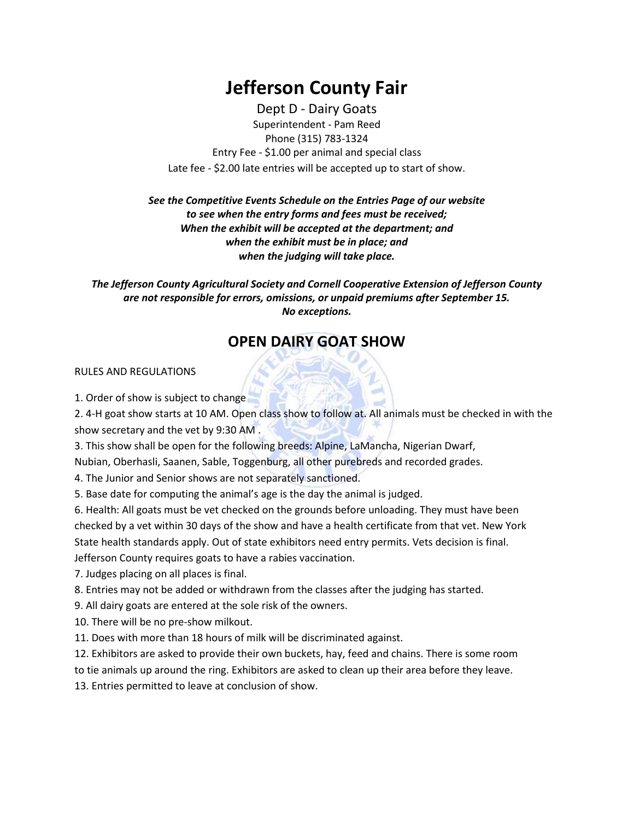# **Jefferson County Fair**

Dept D - Dairy Goats Superintendent - Pam Reed Phone (315) 783-1324 Entry Fee - \$1.00 per animal and special class Late fee - \$2.00 late entries will be accepted up to start of show.

## *See the Competitive Events Schedule on the Entries Page of our website to see when the entry forms and fees must be received; When the exhibit will be accepted at the department; and when the exhibit must be in place; and when the judging will take place.*

*The Jefferson County Agricultural Society and Cornell Cooperative Extension of Jefferson County are not responsible for errors, omissions, or unpaid premiums after September 15. No exceptions.*

# **OPEN DAIRY GOAT SHOW**

#### RULES AND REGULATIONS

1. Order of show is subject to change

2. 4-H goat show starts at 10 AM. Open class show to follow at. All animals must be checked in with the show secretary and the vet by 9:30 AM .

3. This show shall be open for the following breeds: Alpine, LaMancha, Nigerian Dwarf,

Nubian, Oberhasli, Saanen, Sable, Toggenburg, all other purebreds and recorded grades.

4. The Junior and Senior shows are not separately sanctioned.

5. Base date for computing the animal's age is the day the animal is judged.

6. Health: All goats must be vet checked on the grounds before unloading. They must have been checked by a vet within 30 days of the show and have a health certificate from that vet. New York State health standards apply. Out of state exhibitors need entry permits. Vets decision is final. Jefferson County requires goats to have a rabies vaccination.

7. Judges placing on all places is final.

8. Entries may not be added or withdrawn from the classes after the judging has started.

9. All dairy goats are entered at the sole risk of the owners.

10. There will be no pre-show milkout.

11. Does with more than 18 hours of milk will be discriminated against.

12. Exhibitors are asked to provide their own buckets, hay, feed and chains. There is some room

to tie animals up around the ring. Exhibitors are asked to clean up their area before they leave.

13. Entries permitted to leave at conclusion of show.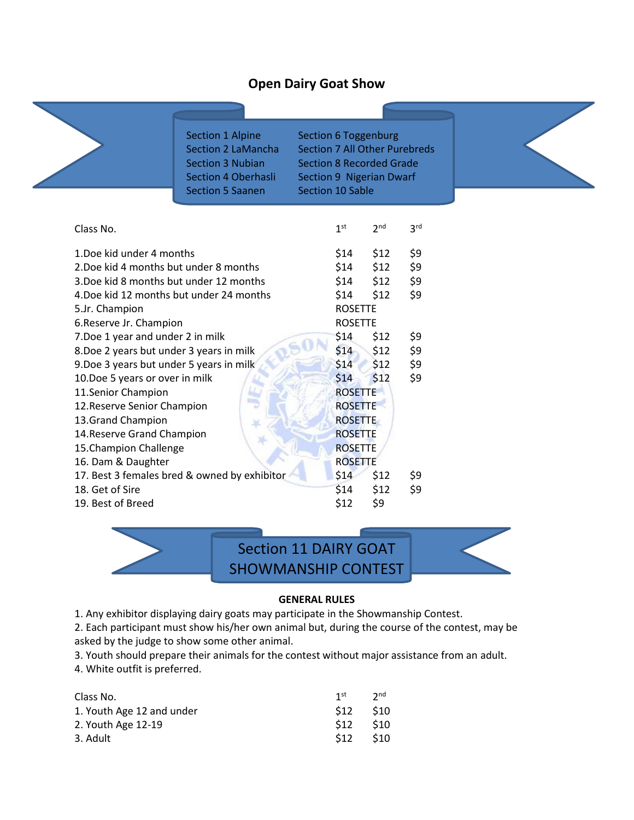## **Open Dairy Goat Show**

| Section 1 Alpine<br><b>Section 2 LaMancha</b><br><b>Section 3 Nubian</b><br>Section 4 Oberhasli<br><b>Section 5 Saanen</b> |                | Section 6 Toggenburg<br><b>Section 7 All Other Purebreds</b><br><b>Section 8 Recorded Grade</b><br>Section 9 Nigerian Dwarf<br><b>Section 10 Sable</b> |                 |                 |  |
|----------------------------------------------------------------------------------------------------------------------------|----------------|--------------------------------------------------------------------------------------------------------------------------------------------------------|-----------------|-----------------|--|
| Class No.                                                                                                                  |                | 1 <sup>st</sup>                                                                                                                                        | 2 <sub>nd</sub> | 3 <sup>rd</sup> |  |
| 1. Doe kid under 4 months                                                                                                  |                | \$14                                                                                                                                                   | \$12            | \$9             |  |
| 2. Doe kid 4 months but under 8 months                                                                                     |                | \$14                                                                                                                                                   | \$12            | \$9             |  |
| 3. Doe kid 8 months but under 12 months                                                                                    |                | \$14                                                                                                                                                   | \$12            | \$9             |  |
| 4. Doe kid 12 months but under 24 months                                                                                   |                | \$14                                                                                                                                                   | \$12            | \$9             |  |
| 5.Jr. Champion                                                                                                             |                | <b>ROSETTE</b>                                                                                                                                         |                 |                 |  |
| 6. Reserve Jr. Champion                                                                                                    |                | <b>ROSETTE</b>                                                                                                                                         |                 |                 |  |
| 7. Doe 1 year and under 2 in milk                                                                                          |                | \$14                                                                                                                                                   | \$12            | \$9             |  |
| 8. Doe 2 years but under 3 years in milk                                                                                   |                | \$14                                                                                                                                                   | \$12            | \$9             |  |
| 9. Doe 3 years but under 5 years in milk                                                                                   |                | \$14                                                                                                                                                   | \$12            | \$9             |  |
| 10.Doe 5 years or over in milk                                                                                             |                | \$14                                                                                                                                                   | \$12            | \$9             |  |
| 11.Senior Champion                                                                                                         |                | <b>ROSETTE</b>                                                                                                                                         |                 |                 |  |
| tang<br>12. Reserve Senior Champion                                                                                        | <b>ROSETTE</b> |                                                                                                                                                        |                 |                 |  |
| 13. Grand Champion                                                                                                         | <b>ROSETTE</b> |                                                                                                                                                        |                 |                 |  |
| 14. Reserve Grand Champion                                                                                                 | <b>ROSETTE</b> |                                                                                                                                                        |                 |                 |  |
| 15. Champion Challenge                                                                                                     | <b>ROSETTE</b> |                                                                                                                                                        |                 |                 |  |
| 16. Dam & Daughter                                                                                                         | <b>ROSETTE</b> |                                                                                                                                                        |                 |                 |  |
| 17. Best 3 females bred & owned by exhibitor                                                                               |                | \$14                                                                                                                                                   | \$12            | \$9             |  |
| 18. Get of Sire                                                                                                            |                | \$14                                                                                                                                                   | \$12            | \$9             |  |
| 19. Best of Breed                                                                                                          |                | \$12                                                                                                                                                   | \$9             |                 |  |



### **GENERAL RULES**

1. Any exhibitor displaying dairy goats may participate in the Showmanship Contest.

2. Each participant must show his/her own animal but, during the course of the contest, may be asked by the judge to show some other animal.

3. Youth should prepare their animals for the contest without major assistance from an adult.

4. White outfit is preferred.

| Class No.                 | 1st  | 2 <sub>nd</sub> |
|---------------------------|------|-----------------|
| 1. Youth Age 12 and under | \$12 | \$10            |
| 2. Youth Age 12-19        | \$12 | \$10            |
| 3. Adult                  | \$12 | \$10            |